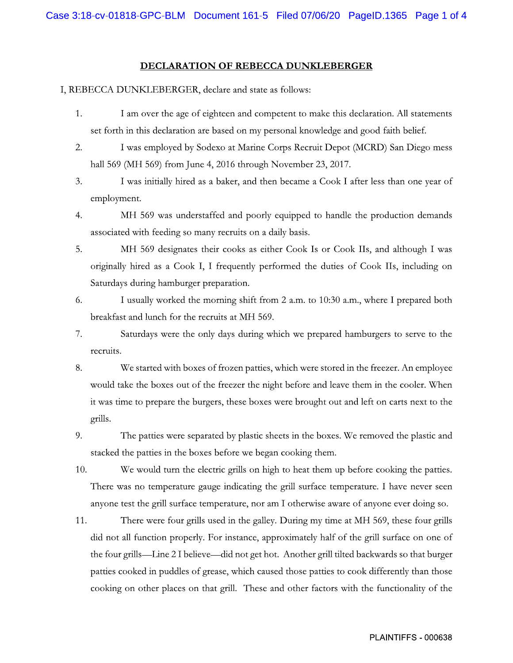## DECLARATION OF REBECCA DUNKLEBERGER

## I, REBECCA DUNKLEBERGER, declare and state as follows:

- I am over the age of eighteen and competent to make this declaration. All statements 1. set forth in this declaration are based on my personal knowledge and good faith belief.
- 2. I was employed by Sodexo at Marine Corps Recruit Depot (MCRD) San Diego mess hall 569 (MH 569) from June 4, 2016 through November 23, 2017.
- 3. I was initially hired as a baker, and then became a Cook I after less than one year of employment.
- 4. MH 569 was understaffed and poorly equipped to handle the production demands associated with feeding so many recruits on a daily basis.
- 5. MH 569 designates their cooks as either Cook Is or Cook IIs, and although I was originally hired as a Cook I, I frequently performed the duties of Cook IIs, including on Saturdays during hamburger preparation.
- 6. I usually worked the morning shift from 2 a.m. to 10:30 a.m., where I prepared both breakfast and lunch for the recruits at MH 569.
- 7. Saturdays were the only days during which we prepared hamburgers to serve to the recruits.
- 8. We started with boxes of frozen patties, which were stored in the freezer. An employee would take the boxes out of the freezer the night before and leave them in the cooler. When it was time to prepare the burgers, these boxes were brought out and left on carts next to the grills.
- 9. The patties were separated by plastic sheets in the boxes. We removed the plastic and stacked the patties in the boxes before we began cooking them.
- 10. We would turn the electric grills on high to heat them up before cooking the patties. There was no temperature gauge indicating the grill surface temperature. I have never seen anyone test the grill surface temperature, nor am I otherwise aware of anyone ever doing so.
- 11. There were four grills used in the galley. During my time at MH 569, these four grills did not all function properly. For instance, approximately half of the grill surface on one of the four grills—Line 2 I believe—did not get hot. Another grill tilted backwards so that burger patties cooked in puddles of grease, which caused those patties to cook differently than those cooking on other places on that grill. These and other factors with the functionality of the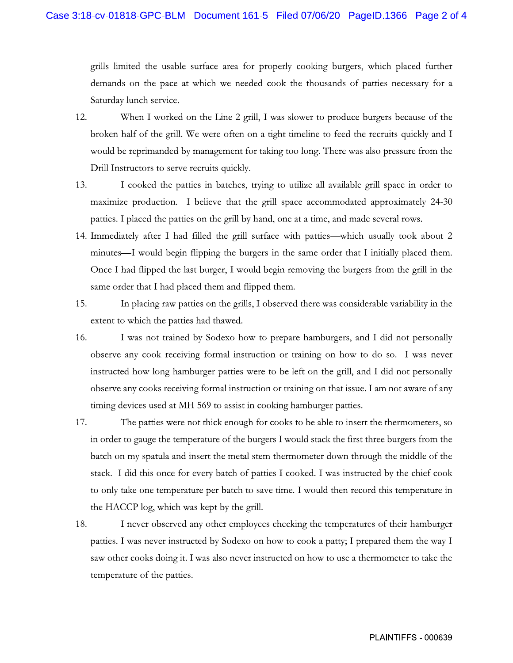grills limited the usable surface area for properly cooking burgers, which placed further demands on the pace at which we needed cook the thousands of patties necessary for a Saturday lunch service.

- When I worked on the Line 2 grill, I was slower to produce burgers because of the 12. broken half of the grill. We were often on a tight timeline to feed the recruits quickly and I would be reprimanded by management for taking too long. There was also pressure from the Drill Instructors to serve recruits quickly.
- 13. I cooked the patties in batches, trying to utilize all available grill space in order to maximize production. I believe that the grill space accommodated approximately 24-30 patties. I placed the patties on the grill by hand, one at a time, and made several rows.
- 14. Immediately after I had filled the grill surface with patties—which usually took about 2 minutes—I would begin flipping the burgers in the same order that I initially placed them. Once I had flipped the last burger, I would begin removing the burgers from the grill in the same order that I had placed them and flipped them.
- 15. In placing raw patties on the grills, I observed there was considerable variability in the extent to which the patties had thawed.
- 16. I was not trained by Sodexo how to prepare hamburgers, and I did not personally observe any cook receiving formal instruction or training on how to do so. I was never instructed how long hamburger patties were to be left on the grill, and I did not personally observe any cooks receiving formal instruction or training on that issue. I am not aware of any timing devices used at MH 569 to assist in cooking hamburger patties.
- 17. The patties were not thick enough for cooks to be able to insert the thermometers, so in order to gauge the temperature of the burgers I would stack the first three burgers from the batch on my spatula and insert the metal stem thermometer down through the middle of the stack. I did this once for every batch of patties I cooked. I was instructed by the chief cook to only take one temperature per batch to save time. I would then record this temperature in the HACCP log, which was kept by the grill.
- 18. I never observed any other employees checking the temperatures of their hamburger patties. I was never instructed by Sodexo on how to cook a patty; I prepared them the way I saw other cooks doing it. I was also never instructed on how to use a thermometer to take the temperature of the patties.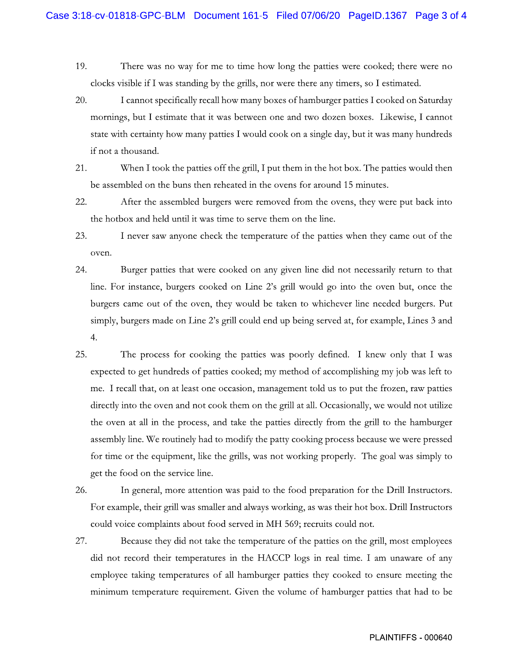- 19. There was no way for me to time how long the patties were cooked; there were no clocks visible if I was standing by the grills, nor were there any timers, so I estimated.
- 20. I cannot specifically recall how many boxes of hamburger patties I cooked on Saturday mornings, but I estimate that it was between one and two dozen boxes. Likewise, I cannot state with certainty how many patties I would cook on a single day, but it was many hundreds if not a thousand.
- 21. When I took the patties off the grill, I put them in the hot box. The patties would then be assembled on the buns then reheated in the ovens for around 15 minutes.
- 22. After the assembled burgers were removed from the ovens, they were put back into the hotbox and held until it was time to serve them on the line.
- 23. I never saw anyone check the temperature of the patties when they came out of the oven.
- 24. Burger patties that were cooked on any given line did not necessarily return to that line. For instance, burgers cooked on Line 2's grill would go into the oven but, once the burgers came out of the oven, they would be taken to whichever line needed burgers. Put simply, burgers made on Line 2's grill could end up being served at, for example, Lines 3 and  $4.$
- 25. The process for cooking the patties was poorly defined. I knew only that I was expected to get hundreds of patties cooked; my method of accomplishing my job was left to me. I recall that, on at least one occasion, management told us to put the frozen, raw patties directly into the oven and not cook them on the grill at all. Occasionally, we would not utilize the oven at all in the process, and take the patties directly from the grill to the hamburger assembly line. We routinely had to modify the patty cooking process because we were pressed for time or the equipment, like the grills, was not working properly. The goal was simply to get the food on the service line.
- 26. In general, more attention was paid to the food preparation for the Drill Instructors. For example, their grill was smaller and always working, as was their hot box. Drill Instructors could voice complaints about food served in MH 569; recruits could not.
- 27. Because they did not take the temperature of the patties on the grill, most employees did not record their temperatures in the HACCP logs in real time. I am unaware of any employee taking temperatures of all hamburger patties they cooked to ensure meeting the minimum temperature requirement. Given the volume of hamburger patties that had to be